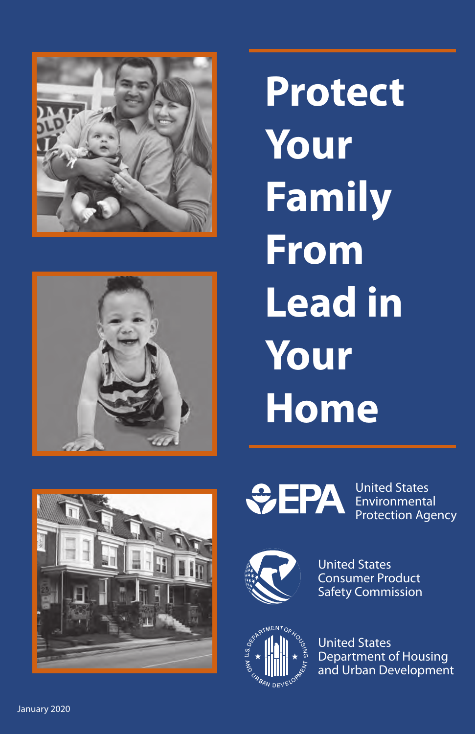



**Protect Your Family From Lead in Your Home** 





United States **Environmental** Protection Agency



United States Consumer Product Safety Commission



United States Department of Housing and Urban Development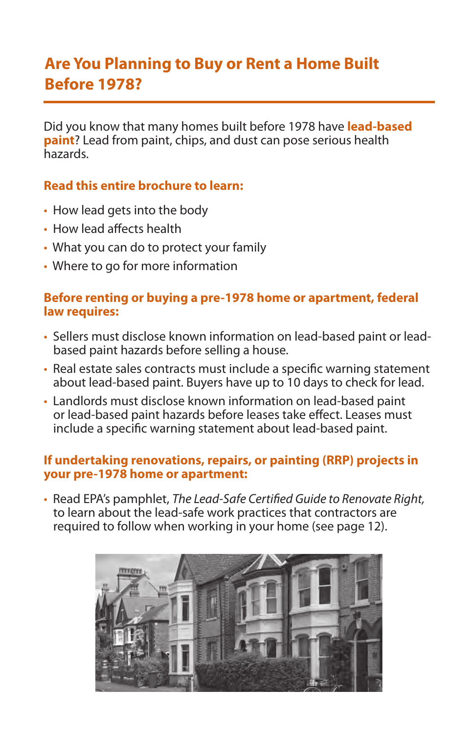### **Are You Planning to Buy or Rent a Home Built Before 1978?**

Did you know that many homes built before 1978 have **lead-based paint**? Lead from paint, chips, and dust can pose serious health hazards.

#### **Read this entire brochure to learn:**

- How lead gets into the body
- How lead affects health
- What you can do to protect your family
- Where to go for more information

#### **Before renting or buying a pre-1978 home or apartment, federal law requires:**

- Sellers must disclose known information on lead-based paint or leadbased paint hazards before selling a house.
- Real estate sales contracts must include a specifc warning statement about lead-based paint. Buyers have up to 10 days to check for lead.
- Landlords must disclose known information on lead-based paint or lead-based paint hazards before leases take effect. Leases must include a specifc warning statement about lead-based paint.

#### **If undertaking renovations, repairs, or painting (RRP) projects in your pre-1978 home or apartment:**

• Read EPA's pamphlet, *The Lead-Safe Certifed Guide to Renovate Right,*  to learn about the lead-safe work practices that contractors are required to follow when working in your home (see page 12).

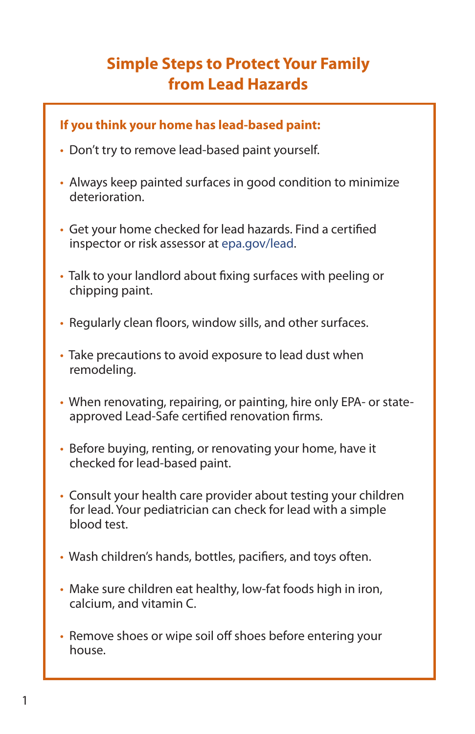# **Simple Steps to Protect Your Family from Lead Hazards**

### **If you think your home has lead-based paint:**

- Don't try to remove lead-based paint yourself.
- Always keep painted surfaces in good condition to minimize deterioration.
- Get your home checked for lead hazards. Find a certifed inspector or risk assessor at [epa.gov/lead.](http://epa.gov/lead)
- Talk to your landlord about fxing surfaces with peeling or chipping paint.
- Regularly clean foors, window sills, and other surfaces.
- Take precautions to avoid exposure to lead dust when remodeling.
- When renovating, repairing, or painting, hire only EPA- or stateapproved Lead-Safe certifed renovation frms.
- Before buying, renting, or renovating your home, have it checked for lead-based paint.
- Consult your health care provider about testing your children for lead. Your pediatrician can check for lead with a simple blood test.
- Wash children's hands, bottles, pacifers, and toys often.
- Make sure children eat healthy, low-fat foods high in iron, calcium, and vitamin C.
- Remove shoes or wipe soil off shoes before entering your house.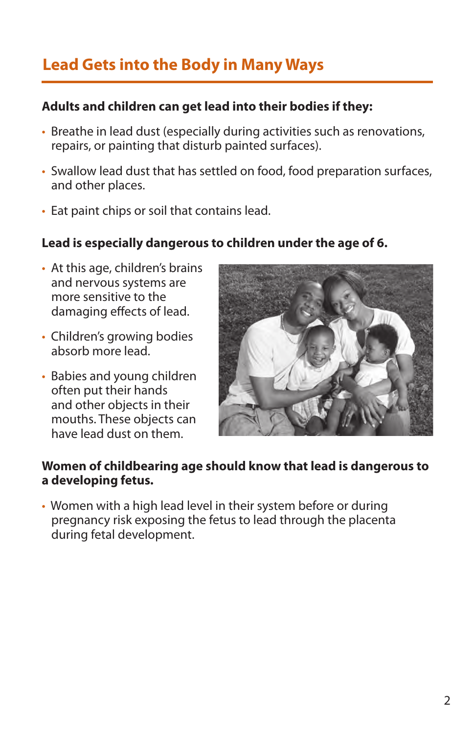# **Lead Gets into the Body in Many Ways**

#### **Adults and children can get lead into their bodies if they:**

- Breathe in lead dust (especially during activities such as renovations, repairs, or painting that disturb painted surfaces).
- Swallow lead dust that has settled on food, food preparation surfaces, and other places.
- Eat paint chips or soil that contains lead.

#### **Lead is especially dangerous to children under the age of 6.**

- At this age, children's brains and nervous systems are more sensitive to the damaging efects of lead.
- Children's growing bodies absorb more lead.
- Babies and young children often put their hands and other objects in their mouths. These objects can have lead dust on them.



#### **Women of childbearing age should know that lead is dangerous to a developing fetus.**

• Women with a high lead level in their system before or during pregnancy risk exposing the fetus to lead through the placenta during fetal development.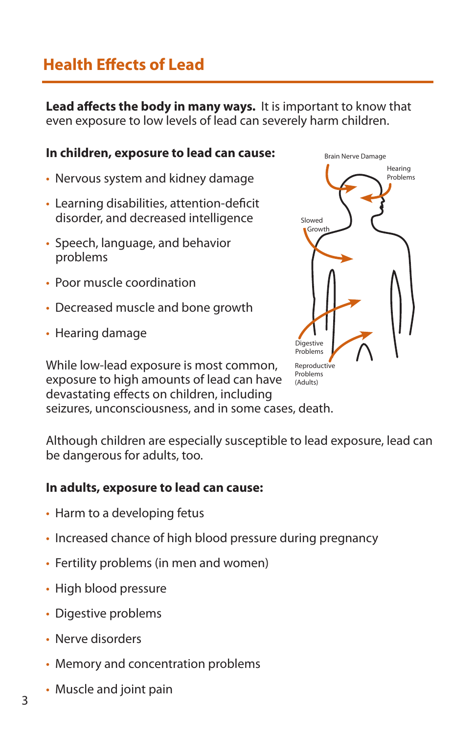## **Health Efects of Lead**

**Lead afects the body in many ways.** It is important to know that even exposure to low levels of lead can severely harm children.

#### **In children, exposure to lead can cause:** Brain Nerve Damage

- Nervous system and kidney damage
- Learning disabilities, attention-deficit disorder, and decreased intelligence
- Speech, language, and behavior problems
- Poor muscle coordination
- Decreased muscle and bone growth
- Hearing damage

While low-lead exposure is most common, exposure to high amounts of lead can have devastating efects on children, including seizures, unconsciousness, and in some cases, death.



Although children are especially susceptible to lead exposure, lead can

#### **In adults, exposure to lead can cause:**

• Harm to a developing fetus

be dangerous for adults, too.

- Increased chance of high blood pressure during pregnancy
- Fertility problems (in men and women)
- High blood pressure
- Digestive problems
- Nerve disorders
- Memory and concentration problems
- Muscle and joint pain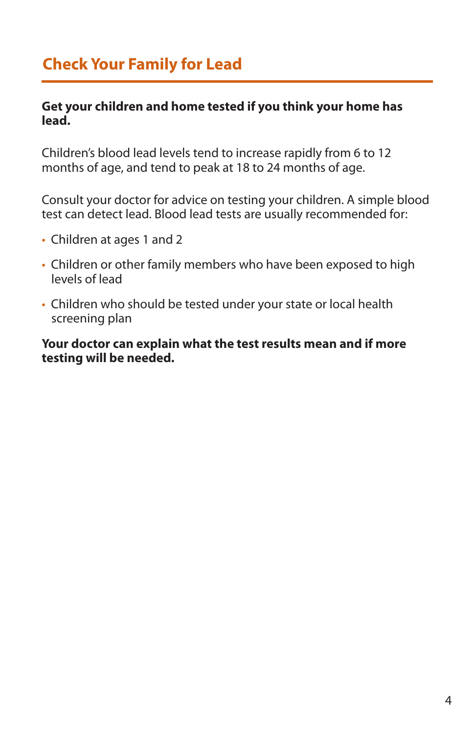### **Check Your Family for Lead**

#### **Get your children and home tested if you think your home has lead.**

Children's blood lead levels tend to increase rapidly from 6 to 12 months of age, and tend to peak at 18 to 24 months of age.

Consult your doctor for advice on testing your children. A simple blood test can detect lead. Blood lead tests are usually recommended for:

- Children at ages 1 and 2
- Children or other family members who have been exposed to high levels of lead
- Children who should be tested under your state or local health screening plan

**Your doctor can explain what the test results mean and if more testing will be needed.**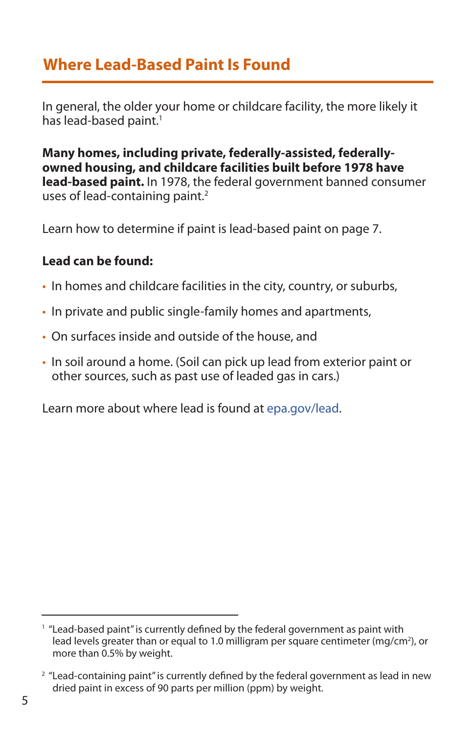### **Where Lead-Based Paint Is Found**

In general, the older your home or childcare facility, the more likely it has lead-based paint.<sup>1</sup>

**Many homes, including private, federally-assisted, federallyowned housing, and childcare facilities built before 1978 have lead-based paint.** In 1978, the federal government banned consumer uses of lead-containing paint.<sup>2</sup>

Learn how to determine if paint is lead-based paint on page 7.

### **Lead can be found:**

- In homes and childcare facilities in the city, country, or suburbs,
- In private and public single-family homes and apartments,
- On surfaces inside and outside of the house, and
- In soil around a home. (Soil can pick up lead from exterior paint or other sources, such as past use of leaded gas in cars.)

Learn more about where lead is found at [epa.gov/lead.](http://epa.gov/lead)

<sup>&</sup>lt;sup>1</sup> "Lead-based paint" is currently defined by the federal government as paint with lead levels greater than or equal to 1.0 milligram per square centimeter (mg/cm<sup>2</sup>), or more than 0.5% by weight.

 $2$  "Lead-containing paint" is currently defined by the federal government as lead in new dried paint in excess of 90 parts per million (ppm) by weight.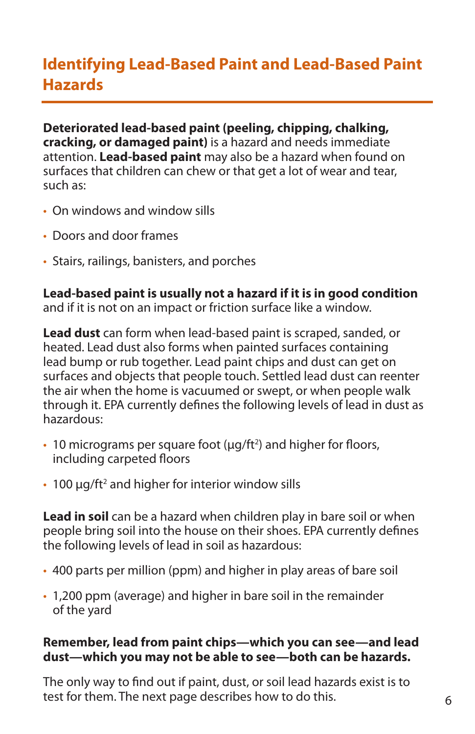### **Identifying Lead-Based Paint and Lead-Based Paint Hazards**

**Deteriorated lead-based paint (peeling, chipping, chalking, cracking, or damaged paint)** is a hazard and needs immediate attention. **Lead-based paint** may also be a hazard when found on surfaces that children can chew or that get a lot of wear and tear. such as:

- On windows and window sills
- Doors and door frames
- Stairs, railings, banisters, and porches

**Lead-based paint is usually not a hazard if it is in good condition**  and if it is not on an impact or friction surface like a window.

**Lead dust** can form when lead-based paint is scraped, sanded, or heated. Lead dust also forms when painted surfaces containing lead bump or rub together. Lead paint chips and dust can get on surfaces and objects that people touch. Settled lead dust can reenter the air when the home is vacuumed or swept, or when people walk through it. EPA currently defnes the following levels of lead in dust as hazardous:

- 10 micrograms per square foot  $(\mu g / ft^2)$  and higher for floors, including carpeted floors
- 100  $\mu$ g/ft<sup>2</sup> and higher for interior window sills

**Lead in soil** can be a hazard when children play in bare soil or when people bring soil into the house on their shoes. EPA currently defnes the following levels of lead in soil as hazardous:

- 400 parts per million (ppm) and higher in play areas of bare soil
- 1,200 ppm (average) and higher in bare soil in the remainder of the yard

#### **Remember, lead from paint chips—which you can see—and lead dust—which you may not be able to see—both can be hazards.**

The only way to fnd out if paint, dust, or soil lead hazards exist is to test for them. The next page describes how to do this.  $\overline{6}$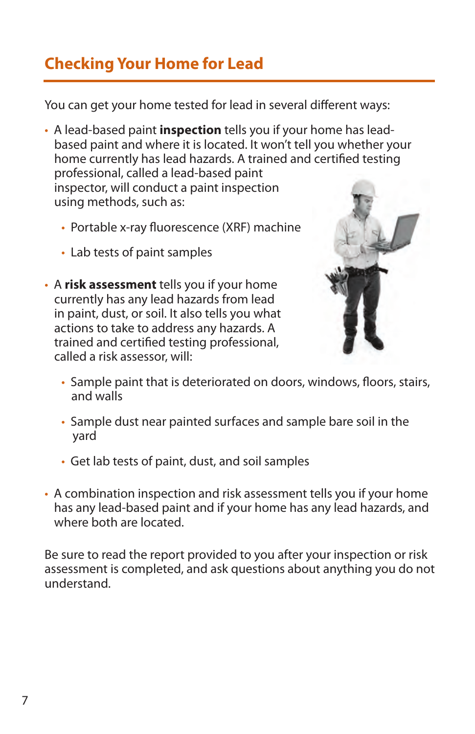# **Checking Your Home for Lead**

You can get your home tested for lead in several different ways:

- A lead-based paint **inspection** tells you if your home has leadbased paint and where it is located. It won't tell you whether your home currently has lead hazards. A trained and certifed testing professional, called a lead-based paint inspector, will conduct a paint inspection using methods, such as:
	- Portable x-ray fuorescence (XRF) machine
	- Lab tests of paint samples
- A **risk assessment** tells you if your home currently has any lead hazards from lead in paint, dust, or soil. It also tells you what actions to take to address any hazards. A trained and certifed testing professional, called a risk assessor, will:



- Sample paint that is deteriorated on doors, windows, floors, stairs, and walls
- Sample dust near painted surfaces and sample bare soil in the yard
- Get lab tests of paint, dust, and soil samples
- A combination inspection and risk assessment tells you if your home has any lead-based paint and if your home has any lead hazards, and where both are located.

Be sure to read the report provided to you after your inspection or risk assessment is completed, and ask questions about anything you do not understand.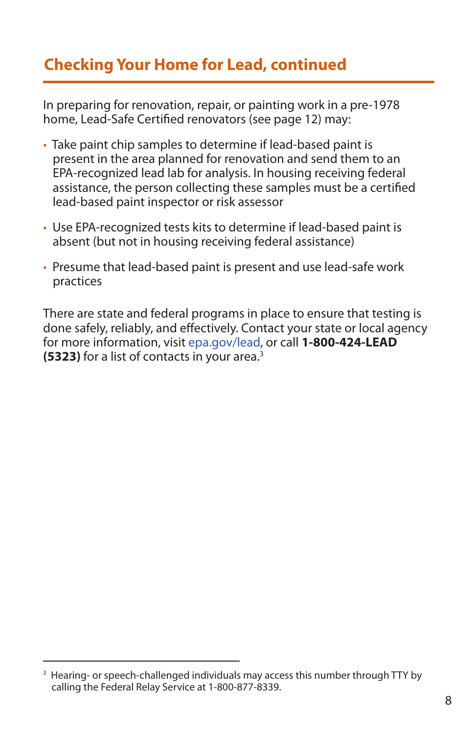# **Checking Your Home for Lead, continued**

In preparing for renovation, repair, or painting work in a pre-1978 home, Lead-Safe Certifed renovators (see page 12) may:

- Take paint chip samples to determine if lead-based paint is present in the area planned for renovation and send them to an EPA-recognized lead lab for analysis. In housing receiving federal assistance, the person collecting these samples must be a certifed lead-based paint inspector or risk assessor
- Use EPA-recognized tests kits to determine if lead-based paint is absent (but not in housing receiving federal assistance)
- Presume that lead-based paint is present and use lead-safe work practices

There are state and federal programs in place to ensure that testing is done safely, reliably, and efectively. Contact your state or local agency for more information, visit [epa.gov/lead](http://epa.gov/lead), or call **1-800-424-LEAD (5323)** for a list of contacts in your area.3

<sup>&</sup>lt;sup>3</sup> Hearing- or speech-challenged individuals may access this number through TTY by calling the Federal Relay Service at 1-800-877-8339.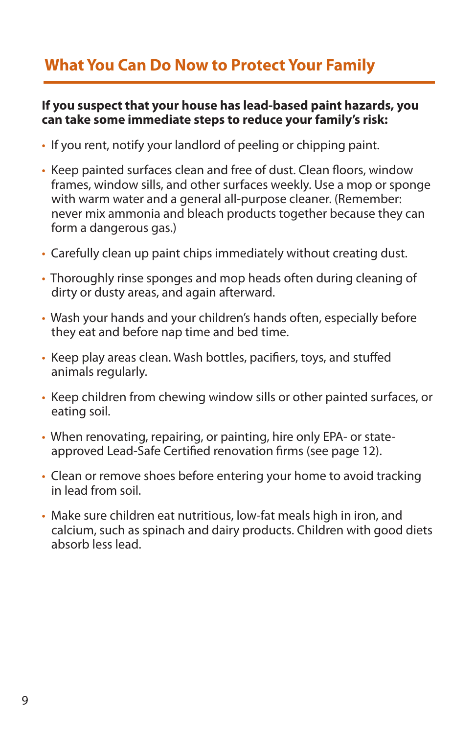# **What You Can Do Now to Protect Your Family**

#### **If you suspect that your house has lead-based paint hazards, you can take some immediate steps to reduce your family's risk:**

- If you rent, notify your landlord of peeling or chipping paint.
- Keep painted surfaces clean and free of dust. Clean floors, window frames, window sills, and other surfaces weekly. Use a mop or sponge with warm water and a general all-purpose cleaner. (Remember: never mix ammonia and bleach products together because they can form a dangerous gas.)
- Carefully clean up paint chips immediately without creating dust.
- Thoroughly rinse sponges and mop heads often during cleaning of dirty or dusty areas, and again afterward.
- Wash your hands and your children's hands often, especially before they eat and before nap time and bed time.
- Keep play areas clean. Wash bottles, pacifers, toys, and stufed animals regularly.
- Keep children from chewing window sills or other painted surfaces, or eating soil.
- When renovating, repairing, or painting, hire only EPA- or stateapproved Lead-Safe Certifed renovation frms (see page 12).
- Clean or remove shoes before entering your home to avoid tracking in lead from soil.
- Make sure children eat nutritious, low-fat meals high in iron, and calcium, such as spinach and dairy products. Children with good diets absorb less lead.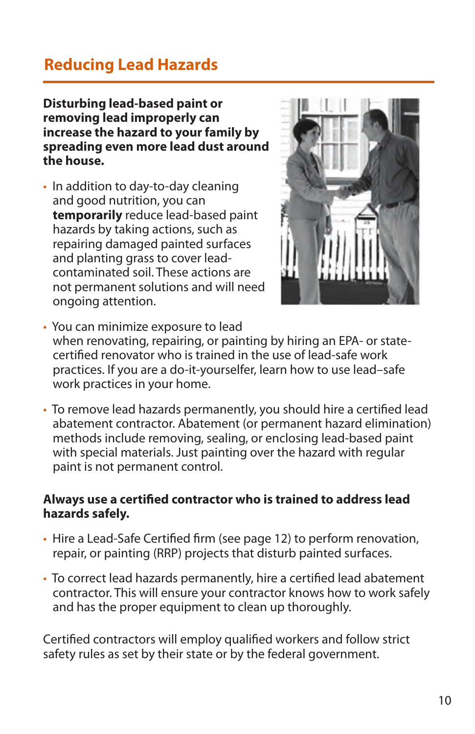### **Reducing Lead Hazards**

**Disturbing lead-based paint or removing lead improperly can increase the hazard to your family by spreading even more lead dust around the house.** 

• In addition to day-to-day cleaning and good nutrition, you can **temporarily** reduce lead-based paint hazards by taking actions, such as repairing damaged painted surfaces and planting grass to cover leadcontaminated soil. These actions are not permanent solutions and will need ongoing attention.



- You can minimize exposure to lead when renovating, repairing, or painting by hiring an EPA- or statecertifed renovator who is trained in the use of lead-safe work practices. If you are a do-it-yourselfer, learn how to use lead–safe work practices in your home.
- To remove lead hazards permanently, you should hire a certifed lead abatement contractor. Abatement (or permanent hazard elimination) methods include removing, sealing, or enclosing lead-based paint with special materials. Just painting over the hazard with regular paint is not permanent control.

#### **Always use a certifed contractor who is trained to address lead hazards safely.**

- Hire a Lead-Safe Certifed frm (see page 12) to perform renovation, repair, or painting (RRP) projects that disturb painted surfaces.
- To correct lead hazards permanently, hire a certifed lead abatement contractor. This will ensure your contractor knows how to work safely and has the proper equipment to clean up thoroughly.

Certifed contractors will employ qualifed workers and follow strict safety rules as set by their state or by the federal government.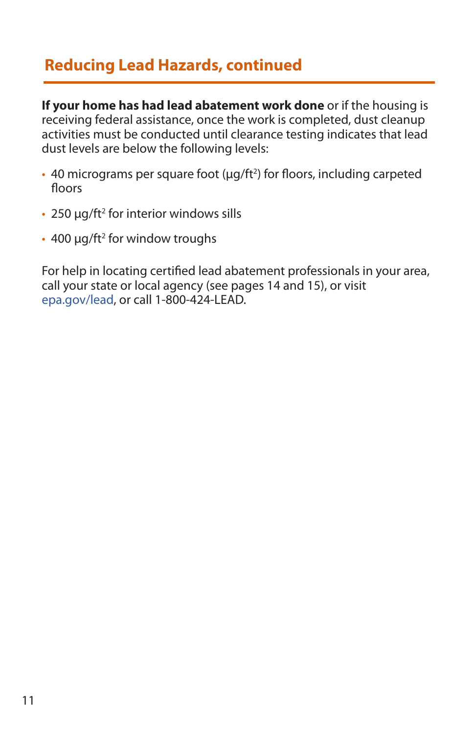### **Reducing Lead Hazards, continued**

**If your home has had lead abatement work done** or if the housing is receiving federal assistance, once the work is completed, dust cleanup activities must be conducted until clearance testing indicates that lead dust levels are below the following levels:

- $\cdot$  40 micrograms per square foot ( $\mu$ g/ft<sup>2</sup>) for floors, including carpeted floors
- 250  $\mu$ g/ft<sup>2</sup> for interior windows sills
- $\cdot$  400 μg/ft<sup>2</sup> for window troughs

For help in locating certifed lead abatement professionals in your area, call your state or local agency (see pages 14 and 15), or visit [epa.gov/lead,](http://epa.gov/lead) or call 1-800-424-LEAD.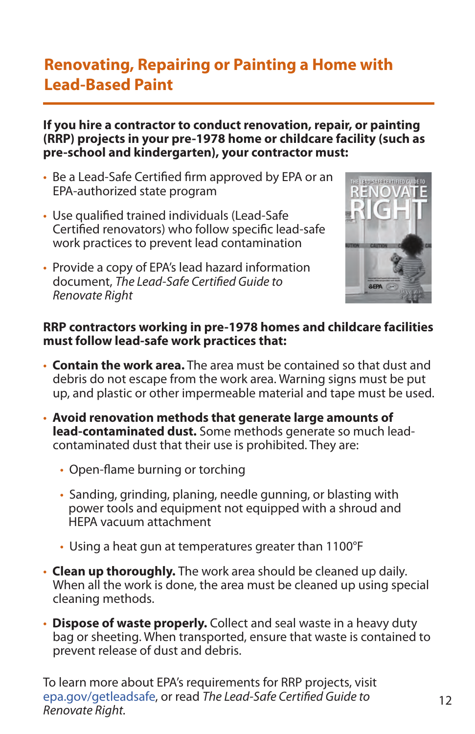### **Renovating, Repairing or Painting a Home with Lead-Based Paint**

#### **If you hire a contractor to conduct renovation, repair, or painting (RRP) projects in your pre-1978 home or childcare facility (such as pre-school and kindergarten), your contractor must:**

- Be a Lead-Safe Certifed frm approved by EPA or an EPA-authorized state program
- Use qualifed trained individuals (Lead-Safe Certifed renovators) who follow specifc lead-safe work practices to prevent lead contamination
- Provide a copy of EPA's lead hazard information document, *The Lead-Safe Certifed Guide to Renovate Right*



#### **RRP contractors working in pre-1978 homes and childcare facilities must follow lead-safe work practices that:**

- **Contain the work area.** The area must be contained so that dust and debris do not escape from the work area. Warning signs must be put up, and plastic or other impermeable material and tape must be used.
- **Avoid renovation methods that generate large amounts of lead-contaminated dust.** Some methods generate so much leadcontaminated dust that their use is prohibited. They are:
	- Open-flame burning or torching
	- Sanding, grinding, planing, needle gunning, or blasting with power tools and equipment not equipped with a shroud and HEPA vacuum attachment
	- Using a heat gun at temperatures greater than 1100°F
- **Clean up thoroughly.** The work area should be cleaned up daily. When all the work is done, the area must be cleaned up using special cleaning methods.
- **Dispose of waste properly.** Collect and seal waste in a heavy duty bag or sheeting. When transported, ensure that waste is contained to prevent release of dust and debris.

To learn more about EPA's requirements for RRP projects, visit [epa.gov/getleadsafe,](http://epa.gov/getleadsafe) or read *The Lead-Safe Certifed Guide to Renovate Right.*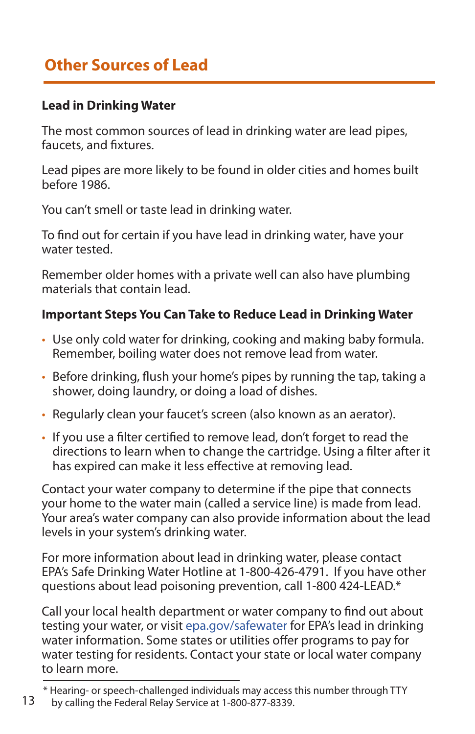# **Other Sources of Lead**

### **Lead in Drinking Water**

The most common sources of lead in drinking water are lead pipes, faucets, and fxtures.

Lead pipes are more likely to be found in older cities and homes built before 1986.

You can't smell or taste lead in drinking water.

To fnd out for certain if you have lead in drinking water, have your water tested.

Remember older homes with a private well can also have plumbing materials that contain lead.

### **Important Steps You Can Take to Reduce Lead in Drinking Water**

- Use only cold water for drinking, cooking and making baby formula. Remember, boiling water does not remove lead from water.
- Before drinking, fush your home's pipes by running the tap, taking a shower, doing laundry, or doing a load of dishes.
- Regularly clean your faucet's screen (also known as an aerator).
- If you use a flter certifed to remove lead, don't forget to read the directions to learn when to change the cartridge. Using a flter after it has expired can make it less effective at removing lead.

Contact your water company to determine if the pipe that connects your home to the water main (called a service line) is made from lead. Your area's water company can also provide information about the lead levels in your system's drinking water.

For more information about lead in drinking water, please contact EPA's Safe Drinking Water Hotline at 1-800-426-4791. If you have other questions about lead poisoning prevention, call 1-800 424-LEAD.\*

Call your local health department or water company to fnd out about testing your water, or visit [epa.gov/safewater](http://epa.gov/safewater) for EPA's lead in drinking water information. Some states or utilities offer programs to pay for water testing for residents. Contact your state or local water company to learn more.

<sup>\*</sup> Hearing- or speech-challenged individuals may access this number through TTY 13 by calling the Federal Relay Service at 1-800-877-8339.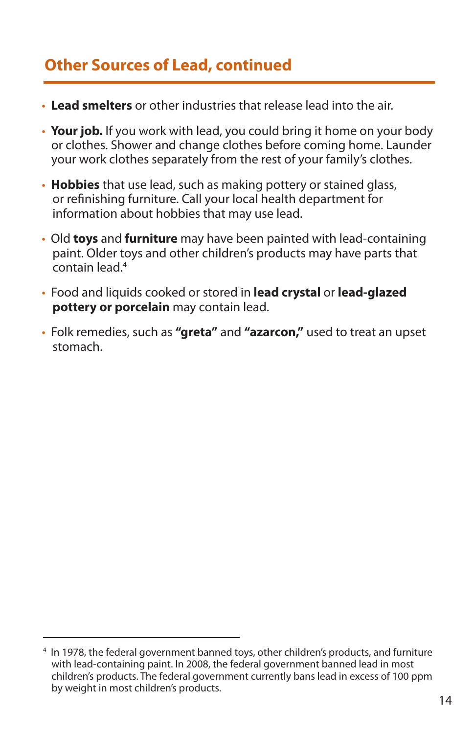### **Other Sources of Lead, continued**

- **Lead smelters** or other industries that release lead into the air.
- • **Your job.** If you work with lead, you could bring it home on your body or clothes. Shower and change clothes before coming home. Launder your work clothes separately from the rest of your family's clothes.
- • **Hobbies** that use lead, such as making pottery or stained glass, or refnishing furniture. Call your local health department for information about hobbies that may use lead.
- Old **toys** and **furniture** may have been painted with lead-containing paint. Older toys and other children's products may have parts that contain lead.4
- Food and liquids cooked or stored in **lead crystal** or **lead-glazed pottery or porcelain** may contain lead.
- Folk remedies, such as **"greta"** and **"azarcon,"** used to treat an upset stomach.

<sup>4</sup> In 1978, the federal government banned toys, other children's products, and furniture with lead-containing paint. In 2008, the federal government banned lead in most children's products. The federal government currently bans lead in excess of 100 ppm by weight in most children's products.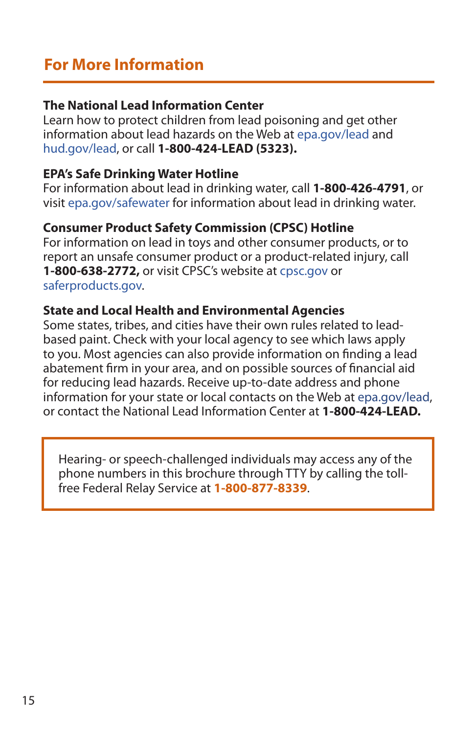#### **The National Lead Information Center**

Learn how to protect children from lead poisoning and get other information about lead hazards on the Web at [epa.gov/lead](http://epa.gov/lead) and [hud.gov/lead](https://portal.hud.gov/hudportal/HUD?src=/program_offices/healthy_homes/leadinfo), or call **1-800-424-LEAD (5323).** 

#### **EPA's Safe Drinking Water Hotline**

For information about lead in drinking water, call **1-800-426-4791**, or visit [epa.gov/safewater](http://epa.gov/safewater) for information about lead in drinking water.

#### **Consumer Product Safety Commission (CPSC) Hotline**

For information on lead in toys and other consumer products, or to report an unsafe consumer product or a product-related injury, call **1-800-638-2772,** or visit CPSC's website at [cpsc.gov](http://cpsc.gov) or [saferproducts.gov](http://saferproducts.gov).

#### **State and Local Health and Environmental Agencies**

Some states, tribes, and cities have their own rules related to leadbased paint. Check with your local agency to see which laws apply to you. Most agencies can also provide information on fnding a lead abatement frm in your area, and on possible sources of fnancial aid for reducing lead hazards. Receive up-to-date address and phone information for your state or local contacts on the Web at [epa.gov/l](http://epa.gov/lead)ead, or contact the National Lead Information Center at **1-800-424-LEAD.** 

Hearing- or speech-challenged individuals may access any of the phone numbers in this brochure through TTY by calling the tollfree Federal Relay Service at **1-800-877-8339**.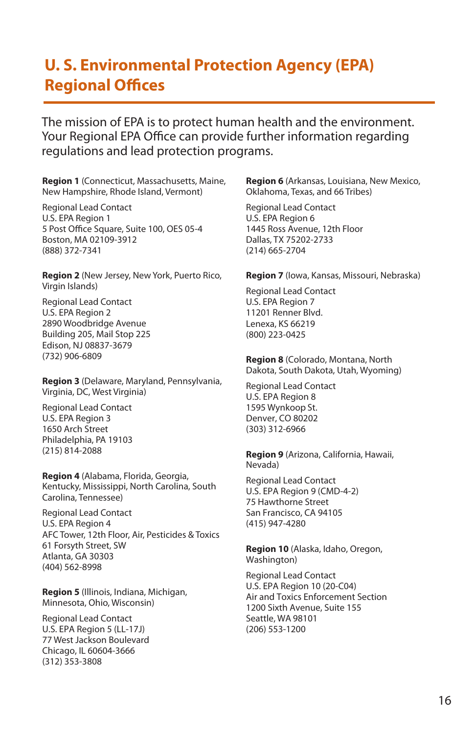### **U. S. Environmental Protection Agency (EPA) Regional Offices**

The mission of EPA is to protect human health and the environment. Your Regional EPA Office can provide further information regarding regulations and lead protection programs.

**Region 1** (Connecticut, Massachusetts, Maine, New Hampshire, Rhode Island, Vermont)

Regional Lead Contact U.S. EPA Region 1 5 Post Office Square, Suite 100, OES 05-4 Boston, MA 02109-3912 (888) 372-7341

**Region 2** (New Jersey, New York, Puerto Rico, Virgin Islands)

Regional Lead Contact U.S. EPA Region 2 2890 Woodbridge Avenue Building 205, Mail Stop 225 Edison, NJ 08837-3679 (732) 906-6809

**Region 3** (Delaware, Maryland, Pennsylvania, Virginia, DC, West Virginia)

Regional Lead Contact U.S. EPA Region 3 1650 Arch Street Philadelphia, PA 19103 (215) 814-2088

**Region 4** (Alabama, Florida, Georgia, Kentucky, Mississippi, North Carolina, South Carolina, Tennessee)

Regional Lead Contact U.S. EPA Region 4 AFC Tower, 12th Floor, Air, Pesticides & Toxics 61 Forsyth Street, SW Atlanta, GA 30303 (404) 562-8998

**Region 5** (Illinois, Indiana, Michigan, Minnesota, Ohio, Wisconsin)

Regional Lead Contact U.S. EPA Region 5 (LL-17J) 77 West Jackson Boulevard Chicago, IL 60604-3666 (312) 353-3808

**Region 6** (Arkansas, Louisiana, New Mexico, Oklahoma, Texas, and 66 Tribes)

Regional Lead Contact U.S. EPA Region 6 1445 Ross Avenue, 12th Floor Dallas, TX 75202-2733 (214) 665-2704

**Region 7** (Iowa, Kansas, Missouri, Nebraska)

Regional Lead Contact U.S. EPA Region 7 11201 Renner Blvd. Lenexa, KS 66219 (800) 223-0425

**Region 8** (Colorado, Montana, North Dakota, South Dakota, Utah, Wyoming)

Regional Lead Contact U.S. EPA Region 8 1595 Wynkoop St. Denver, CO 80202 (303) 312-6966

**Region 9** (Arizona, California, Hawaii, Nevada)

Regional Lead Contact U.S. EPA Region 9 (CMD-4-2) 75 Hawthorne Street San Francisco, CA 94105 (415) 947-4280

**Region 10** (Alaska, Idaho, Oregon, Washington)

Regional Lead Contact U.S. EPA Region 10 (20-C04) Air and Toxics Enforcement Section 1200 Sixth Avenue, Suite 155 Seattle, WA 98101 (206) 553-1200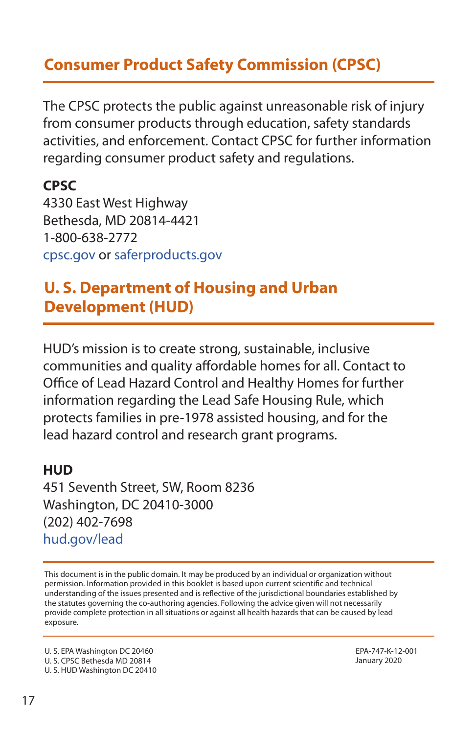### **Consumer Product Safety Commission (CPSC)**

The CPSC protects the public against unreasonable risk of injury from consumer products through education, safety standards activities, and enforcement. Contact CPSC for further information regarding consumer product safety and regulations.

**CPSC**  4330 East West Highway Bethesda, MD 20814-4421 1-800-638-2772 [cpsc.gov](http://cpsc.gov) or [saferproducts.gov](http://saferproducts.gov)

### **U. S. Department of Housing and Urban Development (HUD)**

HUD's mission is to create strong, sustainable, inclusive communities and quality affordable homes for all. Contact to Office of Lead Hazard Control and Healthy Homes for further information regarding the Lead Safe Housing Rule, which protects families in pre-1978 assisted housing, and for the lead hazard control and research grant programs.

#### **HUD**

451 Seventh Street, SW, Room 8236 Washington, DC 20410-3000 (202) 402-7698 [hud.gov/lead](https://www.hud.gov/lead) 

This document is in the public domain. It may be produced by an individual or organization without permission. Information provided in this booklet is based upon current scientifc and technical understanding of the issues presented and is refective of the jurisdictional boundaries established by the statutes governing the co-authoring agencies. Following the advice given will not necessarily provide complete protection in all situations or against all health hazards that can be caused by lead exposure.

U. S. EPA Washington DC 20460 EPA-747-K-12-001 U. S. CPSC Bethesda MD 20814 January 2020 U. S. HUD Washington DC 20410